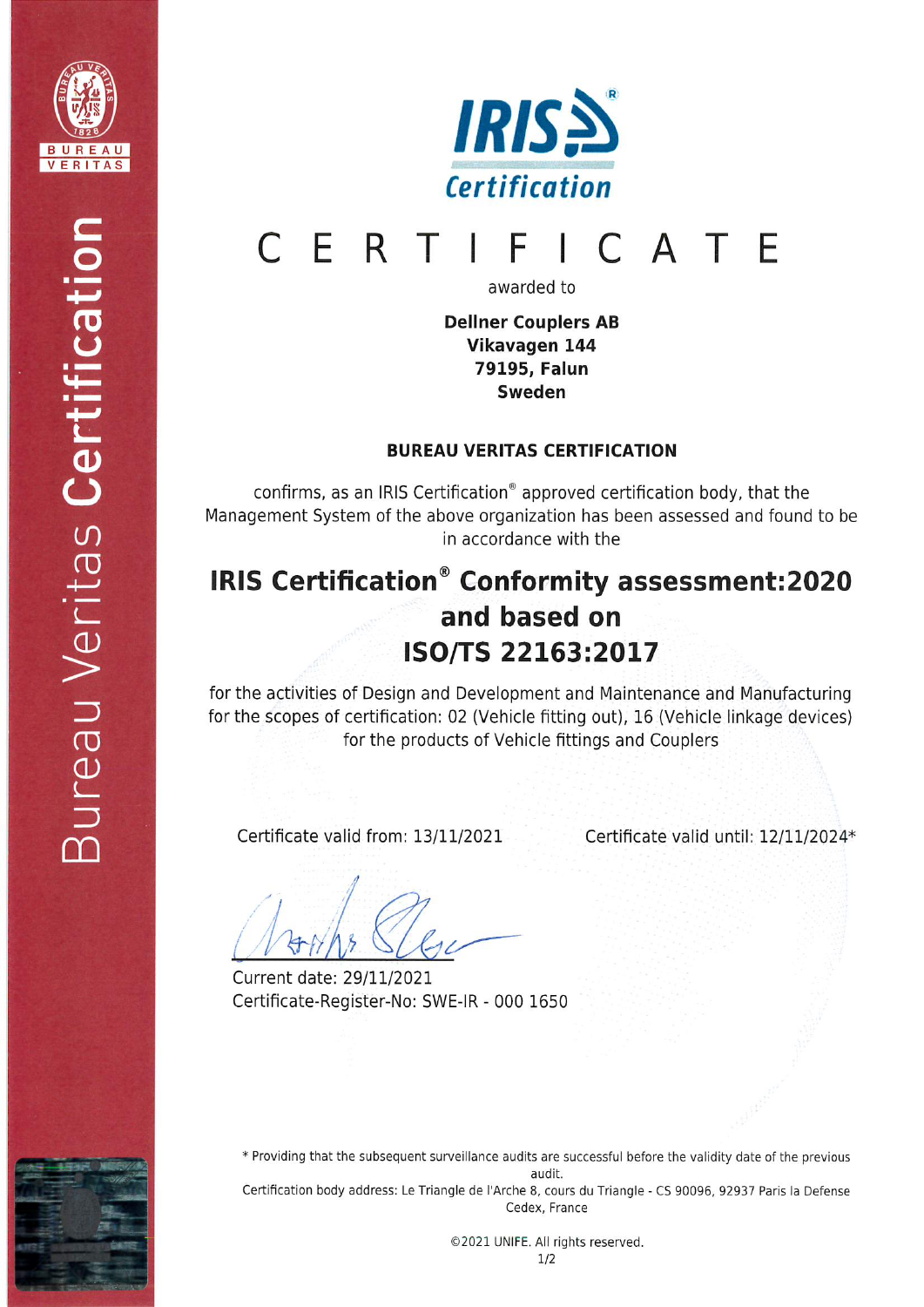



#### ERTI F A T F  $\Gamma$

awarded to

Dellner Couplers AB Vikavagen 144 79195, Falun Sweden

### BUREAU VERITAS CERTIFICATION

confirms, as an IRIS Certification<sup>®</sup> approved certification body, that the Management System of the above organization has been assessed and found to be in accordance with the

# IRIS Certification<sup>®</sup> Conformity assessment:2020 and based on ISO/TS 22163:2017

for the activities of Design and Development and Maintenance and Manufacturing for the scopes of certification: 02 (Vehicle fitting out), 16 (Vehicle linkage devices) for the products of Vehicle fittings and Couplers

Certificate valid from: 13/11/2021

Certificate valid until: 12/11/2024\*

 $\sqrt{2}$ 

Current date: 29/11/2021 Certificate-Register-No: SWE-IR - 000 1650

\* Providing that the subsequent surveillance audits are successful before the validity date of the previous audit. Certification body address: Le Triangle de l'Arche 8, cours du Triangle - CS 90096, 92937 Paris la Defense

Cedex, France

©2021 UNIFE. All rights reserved.